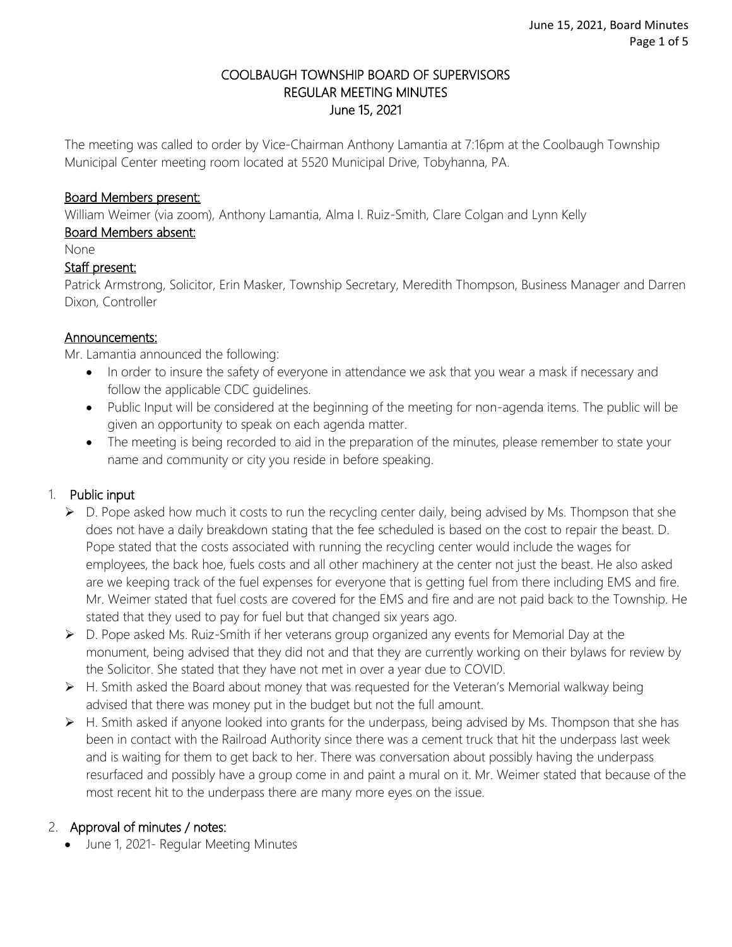### COOLBAUGH TOWNSHIP BOARD OF SUPERVISORS REGULAR MEETING MINUTES June 15, 2021

The meeting was called to order by Vice-Chairman Anthony Lamantia at 7:16pm at the Coolbaugh Township Municipal Center meeting room located at 5520 Municipal Drive, Tobyhanna, PA.

### Board Members present:

William Weimer (via zoom), Anthony Lamantia, Alma I. Ruiz-Smith, Clare Colgan and Lynn Kelly

### Board Members absent:

None

#### Staff present:

Patrick Armstrong, Solicitor, Erin Masker, Township Secretary, Meredith Thompson, Business Manager and Darren Dixon, Controller

#### Announcements:

Mr. Lamantia announced the following:

- In order to insure the safety of everyone in attendance we ask that you wear a mask if necessary and follow the applicable CDC guidelines.
- Public Input will be considered at the beginning of the meeting for non-agenda items. The public will be given an opportunity to speak on each agenda matter.
- The meeting is being recorded to aid in the preparation of the minutes, please remember to state your name and community or city you reside in before speaking.

### 1. Public input

- $\triangleright$  D. Pope asked how much it costs to run the recycling center daily, being advised by Ms. Thompson that she does not have a daily breakdown stating that the fee scheduled is based on the cost to repair the beast. D. Pope stated that the costs associated with running the recycling center would include the wages for employees, the back hoe, fuels costs and all other machinery at the center not just the beast. He also asked are we keeping track of the fuel expenses for everyone that is getting fuel from there including EMS and fire. Mr. Weimer stated that fuel costs are covered for the EMS and fire and are not paid back to the Township. He stated that they used to pay for fuel but that changed six years ago.
- ▶ D. Pope asked Ms. Ruiz-Smith if her veterans group organized any events for Memorial Day at the monument, being advised that they did not and that they are currently working on their bylaws for review by the Solicitor. She stated that they have not met in over a year due to COVID.
- $\triangleright$  H. Smith asked the Board about money that was requested for the Veteran's Memorial walkway being advised that there was money put in the budget but not the full amount.
- $\triangleright$  H. Smith asked if anyone looked into grants for the underpass, being advised by Ms. Thompson that she has been in contact with the Railroad Authority since there was a cement truck that hit the underpass last week and is waiting for them to get back to her. There was conversation about possibly having the underpass resurfaced and possibly have a group come in and paint a mural on it. Mr. Weimer stated that because of the most recent hit to the underpass there are many more eyes on the issue.

### 2. Approval of minutes / notes:

• June 1, 2021- Regular Meeting Minutes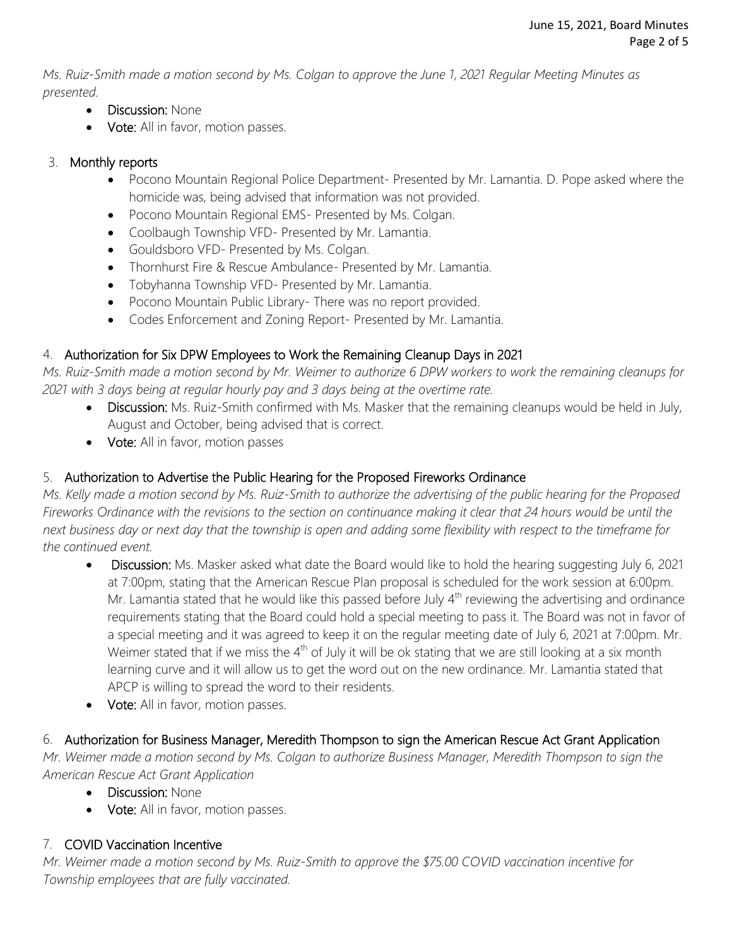*Ms. Ruiz-Smith made a motion second by Ms. Colgan to approve the June 1, 2021 Regular Meeting Minutes as presented.*

- Discussion: None
- Vote: All in favor, motion passes.

# 3. Monthly reports

- Pocono Mountain Regional Police Department- Presented by Mr. Lamantia. D. Pope asked where the homicide was, being advised that information was not provided.
- Pocono Mountain Regional EMS- Presented by Ms. Colgan.
- Coolbaugh Township VFD- Presented by Mr. Lamantia.
- Gouldsboro VFD- Presented by Ms. Colgan.
- Thornhurst Fire & Rescue Ambulance- Presented by Mr. Lamantia.
- Tobyhanna Township VFD- Presented by Mr. Lamantia.
- Pocono Mountain Public Library- There was no report provided.
- Codes Enforcement and Zoning Report- Presented by Mr. Lamantia.

### 4. Authorization for Six DPW Employees to Work the Remaining Cleanup Days in 2021

*Ms. Ruiz-Smith made a motion second by Mr. Weimer to authorize 6 DPW workers to work the remaining cleanups for 2021 with 3 days being at regular hourly pay and 3 days being at the overtime rate.* 

- Discussion: Ms. Ruiz-Smith confirmed with Ms. Masker that the remaining cleanups would be held in July, August and October, being advised that is correct.
- Vote: All in favor, motion passes

# 5. Authorization to Advertise the Public Hearing for the Proposed Fireworks Ordinance

*Ms. Kelly made a motion second by Ms. Ruiz-Smith to authorize the advertising of the public hearing for the Proposed Fireworks Ordinance with the revisions to the section on continuance making it clear that 24 hours would be until the next business day or next day that the township is open and adding some flexibility with respect to the timeframe for the continued event.* 

- Discussion: Ms. Masker asked what date the Board would like to hold the hearing suggesting July 6, 2021 at 7:00pm, stating that the American Rescue Plan proposal is scheduled for the work session at 6:00pm. Mr. Lamantia stated that he would like this passed before July 4<sup>th</sup> reviewing the advertising and ordinance requirements stating that the Board could hold a special meeting to pass it. The Board was not in favor of a special meeting and it was agreed to keep it on the regular meeting date of July 6, 2021 at 7:00pm. Mr. Weimer stated that if we miss the  $4<sup>th</sup>$  of July it will be ok stating that we are still looking at a six month learning curve and it will allow us to get the word out on the new ordinance. Mr. Lamantia stated that APCP is willing to spread the word to their residents.
- Vote: All in favor, motion passes.

# 6. Authorization for Business Manager, Meredith Thompson to sign the American Rescue Act Grant Application

*Mr. Weimer made a motion second by Ms. Colgan to authorize Business Manager, Meredith Thompson to sign the American Rescue Act Grant Application*

- Discussion: None
- Vote: All in favor, motion passes.

# 7. COVID Vaccination Incentive

*Mr. Weimer made a motion second by Ms. Ruiz-Smith to approve the \$75.00 COVID vaccination incentive for Township employees that are fully vaccinated.*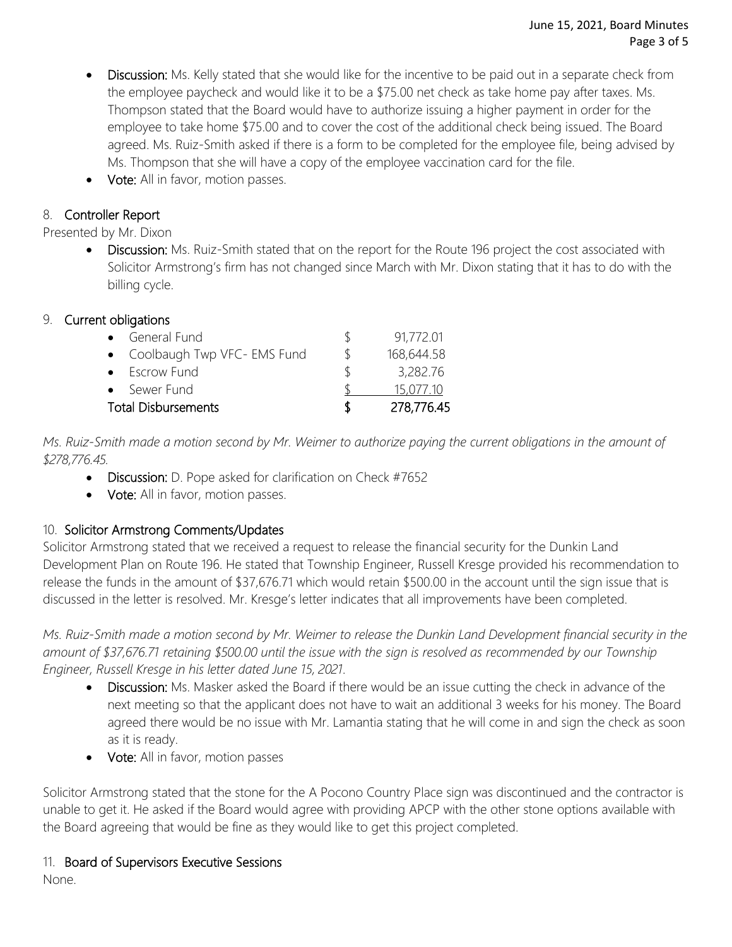- Discussion: Ms. Kelly stated that she would like for the incentive to be paid out in a separate check from the employee paycheck and would like it to be a \$75.00 net check as take home pay after taxes. Ms. Thompson stated that the Board would have to authorize issuing a higher payment in order for the employee to take home \$75.00 and to cover the cost of the additional check being issued. The Board agreed. Ms. Ruiz-Smith asked if there is a form to be completed for the employee file, being advised by Ms. Thompson that she will have a copy of the employee vaccination card for the file.
- **Vote:** All in favor, motion passes.

# 8. Controller Report

Presented by Mr. Dixon

Discussion: Ms. Ruiz-Smith stated that on the report for the Route 196 project the cost associated with Solicitor Armstrong's firm has not changed since March with Mr. Dixon stating that it has to do with the billing cycle.

### 9. Current obligations

| • General Fund<br>• Coolbaugh Twp VFC- EMS Fund | $\mathcal{L}$ | 91,772.01<br>168,644.58 |
|-------------------------------------------------|---------------|-------------------------|
| • Escrow Fund                                   | ∖             | 3,282.76                |
| • Sewer Fund                                    |               | 15.077.10               |
| <b>Total Disbursements</b>                      | Т             | 278,776.45              |

*Ms. Ruiz-Smith made a motion second by Mr. Weimer to authorize paying the current obligations in the amount of \$278,776.45.*

- Discussion: D. Pope asked for clarification on Check #7652
- Vote: All in favor, motion passes.

### 10. Solicitor Armstrong Comments/Updates

Solicitor Armstrong stated that we received a request to release the financial security for the Dunkin Land Development Plan on Route 196. He stated that Township Engineer, Russell Kresge provided his recommendation to release the funds in the amount of \$37,676.71 which would retain \$500.00 in the account until the sign issue that is discussed in the letter is resolved. Mr. Kresge's letter indicates that all improvements have been completed.

*Ms. Ruiz-Smith made a motion second by Mr. Weimer to release the Dunkin Land Development financial security in the amount of \$37,676.71 retaining \$500.00 until the issue with the sign is resolved as recommended by our Township Engineer, Russell Kresge in his letter dated June 15, 2021.* 

- Discussion: Ms. Masker asked the Board if there would be an issue cutting the check in advance of the next meeting so that the applicant does not have to wait an additional 3 weeks for his money. The Board agreed there would be no issue with Mr. Lamantia stating that he will come in and sign the check as soon as it is ready.
- Vote: All in favor, motion passes

Solicitor Armstrong stated that the stone for the A Pocono Country Place sign was discontinued and the contractor is unable to get it. He asked if the Board would agree with providing APCP with the other stone options available with the Board agreeing that would be fine as they would like to get this project completed.

### 11. Board of Supervisors Executive Sessions

None.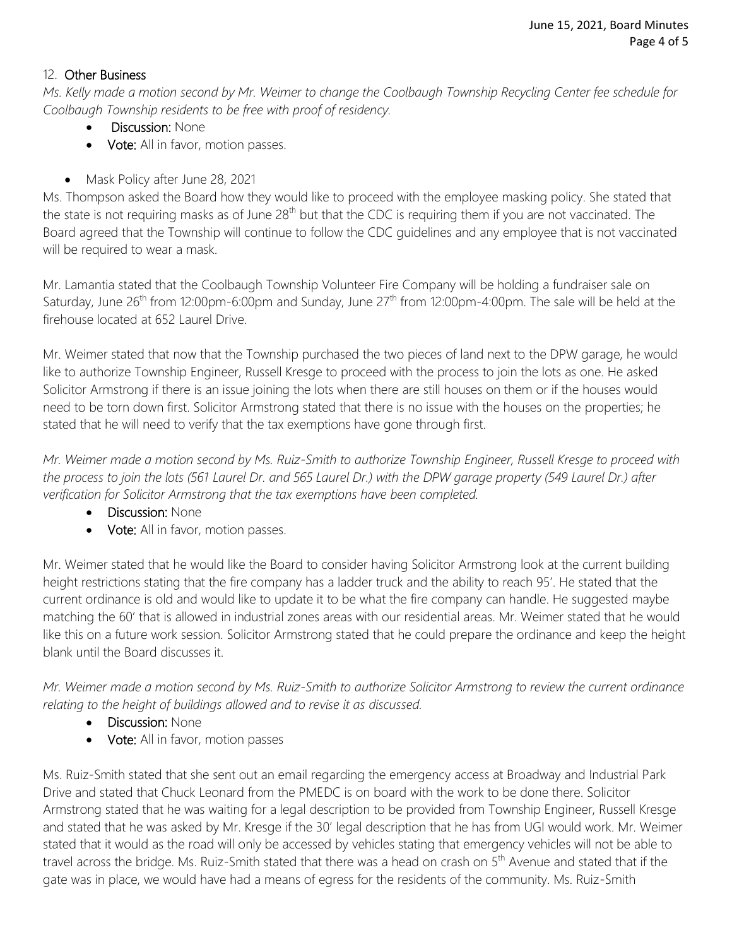### 12. Other Business

*Ms. Kelly made a motion second by Mr. Weimer to change the Coolbaugh Township Recycling Center fee schedule for Coolbaugh Township residents to be free with proof of residency.*

- Discussion: None
- Vote: All in favor, motion passes.
- Mask Policy after June 28, 2021

Ms. Thompson asked the Board how they would like to proceed with the employee masking policy. She stated that the state is not requiring masks as of June 28<sup>th</sup> but that the CDC is requiring them if you are not vaccinated. The Board agreed that the Township will continue to follow the CDC guidelines and any employee that is not vaccinated will be required to wear a mask.

Mr. Lamantia stated that the Coolbaugh Township Volunteer Fire Company will be holding a fundraiser sale on Saturday, June 26<sup>th</sup> from 12:00pm-6:00pm and Sunday, June 27<sup>th</sup> from 12:00pm-4:00pm. The sale will be held at the firehouse located at 652 Laurel Drive.

Mr. Weimer stated that now that the Township purchased the two pieces of land next to the DPW garage, he would like to authorize Township Engineer, Russell Kresge to proceed with the process to join the lots as one. He asked Solicitor Armstrong if there is an issue joining the lots when there are still houses on them or if the houses would need to be torn down first. Solicitor Armstrong stated that there is no issue with the houses on the properties; he stated that he will need to verify that the tax exemptions have gone through first.

*Mr. Weimer made a motion second by Ms. Ruiz-Smith to authorize Township Engineer, Russell Kresge to proceed with the process to join the lots (561 Laurel Dr. and 565 Laurel Dr.) with the DPW garage property (549 Laurel Dr.) after verification for Solicitor Armstrong that the tax exemptions have been completed.* 

- Discussion: None
- Vote: All in favor, motion passes.

Mr. Weimer stated that he would like the Board to consider having Solicitor Armstrong look at the current building height restrictions stating that the fire company has a ladder truck and the ability to reach 95'. He stated that the current ordinance is old and would like to update it to be what the fire company can handle. He suggested maybe matching the 60' that is allowed in industrial zones areas with our residential areas. Mr. Weimer stated that he would like this on a future work session. Solicitor Armstrong stated that he could prepare the ordinance and keep the height blank until the Board discusses it.

*Mr. Weimer made a motion second by Ms. Ruiz-Smith to authorize Solicitor Armstrong to review the current ordinance relating to the height of buildings allowed and to revise it as discussed.* 

- Discussion: None
- Vote: All in favor, motion passes

Ms. Ruiz-Smith stated that she sent out an email regarding the emergency access at Broadway and Industrial Park Drive and stated that Chuck Leonard from the PMEDC is on board with the work to be done there. Solicitor Armstrong stated that he was waiting for a legal description to be provided from Township Engineer, Russell Kresge and stated that he was asked by Mr. Kresge if the 30' legal description that he has from UGI would work. Mr. Weimer stated that it would as the road will only be accessed by vehicles stating that emergency vehicles will not be able to travel across the bridge. Ms. Ruiz-Smith stated that there was a head on crash on 5<sup>th</sup> Avenue and stated that if the gate was in place, we would have had a means of egress for the residents of the community. Ms. Ruiz-Smith